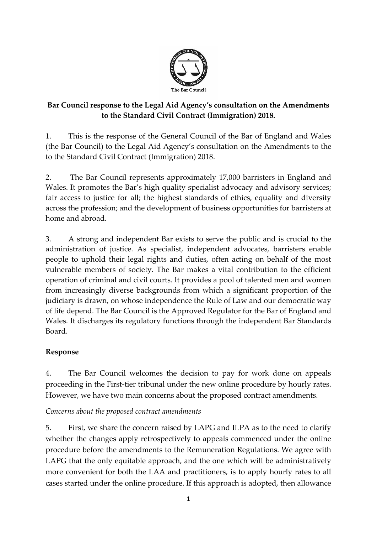

## **Bar Council response to the Legal Aid Agency's consultation on the Amendments to the Standard Civil Contract (Immigration) 2018.**

1. This is the response of the General Council of the Bar of England and Wales (the Bar Council) to the Legal Aid Agency's consultation on the Amendments to the to the Standard Civil Contract (Immigration) 2018.

2. The Bar Council represents approximately 17,000 barristers in England and Wales. It promotes the Bar's high quality specialist advocacy and advisory services; fair access to justice for all; the highest standards of ethics, equality and diversity across the profession; and the development of business opportunities for barristers at home and abroad.

3. A strong and independent Bar exists to serve the public and is crucial to the administration of justice. As specialist, independent advocates, barristers enable people to uphold their legal rights and duties, often acting on behalf of the most vulnerable members of society. The Bar makes a vital contribution to the efficient operation of criminal and civil courts. It provides a pool of talented men and women from increasingly diverse backgrounds from which a significant proportion of the judiciary is drawn, on whose independence the Rule of Law and our democratic way of life depend. The Bar Council is the Approved Regulator for the Bar of England and Wales. It discharges its regulatory functions through the independent Bar Standards Board.

## **Response**

4. The Bar Council welcomes the decision to pay for work done on appeals proceeding in the First-tier tribunal under the new online procedure by hourly rates. However, we have two main concerns about the proposed contract amendments.

*Concerns about the proposed contract amendments*

5. First, we share the concern raised by LAPG and ILPA as to the need to clarify whether the changes apply retrospectively to appeals commenced under the online procedure before the amendments to the Remuneration Regulations. We agree with LAPG that the only equitable approach, and the one which will be administratively more convenient for both the LAA and practitioners, is to apply hourly rates to all cases started under the online procedure. If this approach is adopted, then allowance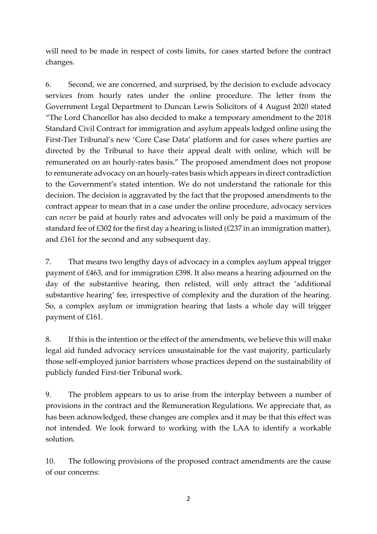will need to be made in respect of costs limits, for cases started before the contract changes.

6. Second, we are concerned, and surprised, by the decision to exclude advocacy services from hourly rates under the online procedure. The letter from the Government Legal Department to Duncan Lewis Solicitors of 4 August 2020 stated "The Lord Chancellor has also decided to make a temporary amendment to the 2018 Standard Civil Contract for immigration and asylum appeals lodged online using the First-Tier Tribunal's new 'Core Case Data' platform and for cases where parties are directed by the Tribunal to have their appeal dealt with online, which will be remunerated on an hourly-rates basis." The proposed amendment does not propose to remunerate advocacy on an hourly-rates basis which appears in direct contradiction to the Government's stated intention. We do not understand the rationale for this decision. The decision is aggravated by the fact that the proposed amendments to the contract appear to mean that in a case under the online procedure, advocacy services can *never* be paid at hourly rates and advocates will only be paid a maximum of the standard fee of £302 for the first day a hearing is listed (£237 in an immigration matter), and £161 for the second and any subsequent day.

7. That means two lengthy days of advocacy in a complex asylum appeal trigger payment of £463, and for immigration £398. It also means a hearing adjourned on the day of the substantive hearing, then relisted, will only attract the 'additional substantive hearing' fee, irrespective of complexity and the duration of the hearing. So, a complex asylum or immigration hearing that lasts a whole day will trigger payment of £161.

8. If this is the intention or the effect of the amendments, we believe this will make legal aid funded advocacy services unsustainable for the vast majority, particularly those self-employed junior barristers whose practices depend on the sustainability of publicly funded First-tier Tribunal work.

9. The problem appears to us to arise from the interplay between a number of provisions in the contract and the Remuneration Regulations. We appreciate that, as has been acknowledged, these changes are complex and it may be that this effect was not intended. We look forward to working with the LAA to identify a workable solution.

10. The following provisions of the proposed contract amendments are the cause of our concerns: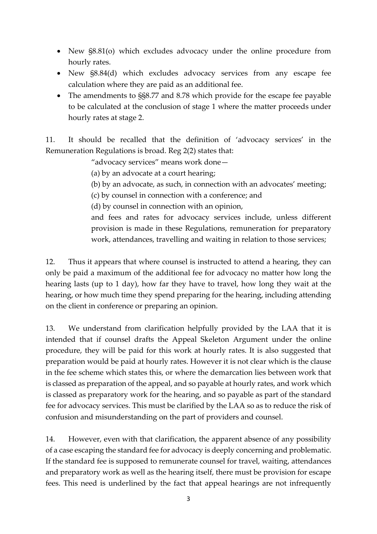- New  $\S 8.81$ (o) which excludes advocacy under the online procedure from hourly rates.
- New  $\S 8.84$ (d) which excludes advocacy services from any escape fee calculation where they are paid as an additional fee.
- The amendments to SS8.77 and 8.78 which provide for the escape fee payable to be calculated at the conclusion of stage 1 where the matter proceeds under hourly rates at stage 2.

11. It should be recalled that the definition of 'advocacy services' in the Remuneration Regulations is broad. Reg 2(2) states that:

"advocacy services" means work done—

(a) by an advocate at a court hearing;

(b) by an advocate, as such, in connection with an advocates' meeting;

(c) by counsel in connection with a conference; and

(d) by counsel in connection with an opinion,

and fees and rates for advocacy services include, unless different provision is made in these Regulations, remuneration for preparatory work, attendances, travelling and waiting in relation to those services;

12. Thus it appears that where counsel is instructed to attend a hearing, they can only be paid a maximum of the additional fee for advocacy no matter how long the hearing lasts (up to 1 day), how far they have to travel, how long they wait at the hearing, or how much time they spend preparing for the hearing, including attending on the client in conference or preparing an opinion.

13. We understand from clarification helpfully provided by the LAA that it is intended that if counsel drafts the Appeal Skeleton Argument under the online procedure, they will be paid for this work at hourly rates. It is also suggested that preparation would be paid at hourly rates. However it is not clear which is the clause in the fee scheme which states this, or where the demarcation lies between work that is classed as preparation of the appeal, and so payable at hourly rates, and work which is classed as preparatory work for the hearing, and so payable as part of the standard fee for advocacy services. This must be clarified by the LAA so as to reduce the risk of confusion and misunderstanding on the part of providers and counsel.

14. However, even with that clarification, the apparent absence of any possibility of a case escaping the standard fee for advocacy is deeply concerning and problematic. If the standard fee is supposed to remunerate counsel for travel, waiting, attendances and preparatory work as well as the hearing itself, there must be provision for escape fees. This need is underlined by the fact that appeal hearings are not infrequently